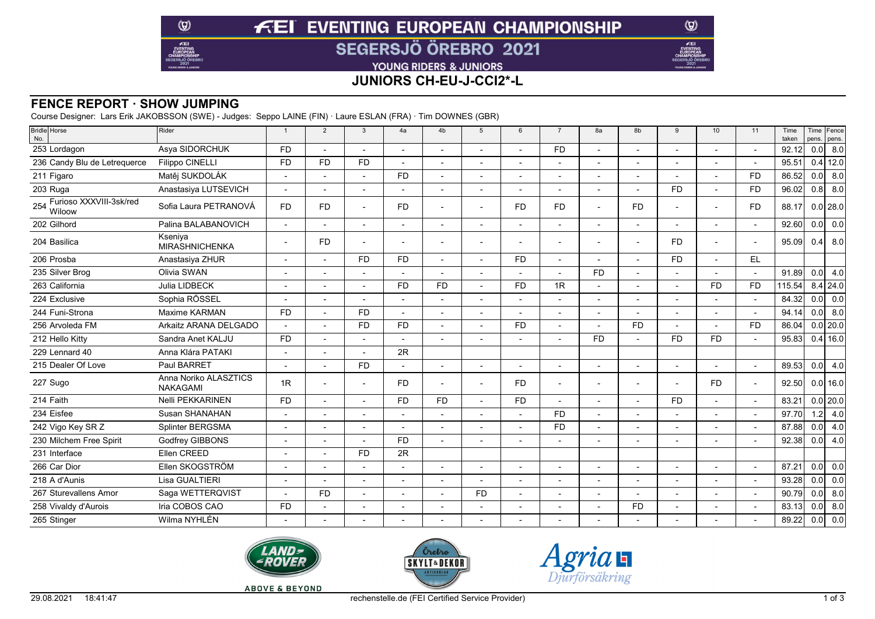# **FEI EVENTING EUROPEAN CHAMPIONSHIP SEGERSJÖ ÖREBRO 2021**

YOUNG RIDERS & JUNIORS

# **JUNIORS CH-EU-J-CCI2\*-L**

## **FENCE REPORT · SHOW JUMPING**

 $\circledcirc$ 

 $E$ EI

Course Designer: Lars Erik JAKOBSSON (SWE) - Judges: Seppo LAINE (FIN) · Laure ESLAN (FRA) · Tim DOWNES (GBR)

| Bridle Horse<br>No.                   | Rider                                    | $\overline{1}$           | 2              | 3                        | 4a                       | 4 <sub>b</sub> | 5                        | 6                        | $\overline{7}$           | 8a                       | 8b             | 9              | 10 <sup>1</sup> | 11                       | Time<br>taken | pens. | Time Fence<br>pens. |
|---------------------------------------|------------------------------------------|--------------------------|----------------|--------------------------|--------------------------|----------------|--------------------------|--------------------------|--------------------------|--------------------------|----------------|----------------|-----------------|--------------------------|---------------|-------|---------------------|
| 253 Lordagon                          | Asya SIDORCHUK                           | <b>FD</b>                | $\overline{a}$ |                          |                          | $\overline{a}$ |                          |                          | <b>FD</b>                | $\overline{a}$           |                |                |                 | $\overline{a}$           | 92.12         | 0.0   | 8.0                 |
| 236 Candy Blu de Letrequerce          | <b>Filippo CINELLI</b>                   | <b>FD</b>                | <b>FD</b>      | <b>FD</b>                |                          |                |                          |                          |                          | $\overline{a}$           |                |                |                 |                          | 95.51         |       | $0.4$ 12.0          |
| 211 Figaro                            | Matěi SUKDOLÁK                           |                          |                |                          | <b>FD</b>                | Ĭ.             |                          |                          |                          | $\blacksquare$           | $\overline{a}$ |                |                 | <b>FD</b>                | 86.52         | 0.0   | 8.0                 |
| 203 Ruga                              | Anastasiya LUTSEVICH                     |                          |                |                          |                          | $\overline{a}$ |                          |                          |                          | $\overline{\phantom{a}}$ |                | F <sub>D</sub> |                 | F <sub>D</sub>           | 96.02         | 0.8   | 8.0                 |
| 254 Furioso XXXVIII-3sk/red<br>Wiloow | Sofia Laura PETRANOVÁ                    | <b>FD</b>                | <b>FD</b>      |                          | <b>FD</b>                | $\overline{a}$ |                          | FD.                      | <b>FD</b>                | $\overline{\phantom{a}}$ | <b>FD</b>      |                |                 | <b>FD</b>                | 88.17         |       | $0.0$   28.0        |
| 202 Gilhord                           | Palina BALABANOVICH                      |                          | $\overline{a}$ | $\overline{a}$           | $\sim$                   | $\blacksquare$ |                          | $\overline{\phantom{a}}$ | $\blacksquare$           | $\blacksquare$           | $\blacksquare$ |                |                 |                          | 92.60         | 0.0   | 0.0                 |
| 204 Basilica                          | Kseniva<br><b>MIRASHNICHENKA</b>         | $\blacksquare$           | <b>FD</b>      |                          |                          | $\overline{a}$ | $\blacksquare$           |                          |                          | $\overline{\phantom{a}}$ | $\overline{a}$ | <b>FD</b>      |                 |                          | 95.09         | 0.41  | 8.0                 |
| 206 Prosba                            | Anastasiya ZHUR                          | $\overline{\phantom{a}}$ |                | <b>FD</b>                | <b>FD</b>                | $\overline{a}$ | $\overline{\phantom{a}}$ | <b>FD</b>                | $\blacksquare$           | $\overline{\phantom{a}}$ |                | <b>FD</b>      |                 | EL                       |               |       |                     |
| 235 Silver Brog                       | Olivia SWAN                              |                          |                |                          |                          |                |                          |                          |                          | <b>FD</b>                |                |                |                 |                          | 91.89         | 0.0   | 4.0                 |
| 263 California                        | Julia LIDBECK                            |                          |                | $\blacksquare$           | <b>FD</b>                | <b>FD</b>      |                          | <b>FD</b>                | 1R                       | $\blacksquare$           | $\overline{a}$ |                | <b>FD</b>       | <b>FD</b>                | 115.54        |       | $8.4$ 24.0          |
| 224 Exclusive                         | Sophia RÖSSEL                            | $\blacksquare$           |                |                          |                          | $\blacksquare$ | $\blacksquare$           |                          | $\blacksquare$           | $\overline{\phantom{a}}$ | ٠              |                |                 | $\blacksquare$           | 84.32         | 0.0   | 0.0                 |
| 244 Funi-Strona                       | Maxime KARMAN                            | <b>FD</b>                |                | <b>FD</b>                | $\overline{\phantom{a}}$ | $\blacksquare$ |                          |                          |                          | $\blacksquare$           |                |                |                 | $\overline{a}$           | 94.14         | 0.0   | 8.0                 |
| 256 Arvoleda FM                       | Arkaitz ARANA DELGADO                    |                          |                | <b>FD</b>                | <b>FD</b>                | $\blacksquare$ |                          | <b>FD</b>                |                          | $\blacksquare$           | <b>FD</b>      |                |                 | <b>FD</b>                | 86.04         |       | $0.0$   20.0        |
| 212 Hello Kitty                       | Sandra Anet KALJU                        | <b>FD</b>                |                |                          |                          | $\overline{a}$ |                          |                          |                          | <b>FD</b>                |                | <b>FD</b>      | <b>FD</b>       |                          | 95.83         |       | $0.4$ 16.0          |
| 229 Lennard 40                        | Anna Klára PATAKI                        |                          |                |                          | 2R                       |                |                          |                          |                          |                          |                |                |                 |                          |               |       |                     |
| 215 Dealer Of Love                    | Paul BARRET                              | $\blacksquare$           |                | <b>FD</b>                |                          | $\overline{a}$ | $\overline{\phantom{a}}$ | $\overline{\phantom{a}}$ | $\blacksquare$           | $\blacksquare$           |                |                |                 | $\overline{\phantom{a}}$ | 89.53         | 0.0   | 4.0                 |
| 227 Sugo                              | Anna Noriko ALASZTICS<br><b>NAKAGAMI</b> | 1R                       |                | $\overline{\phantom{a}}$ | <b>FD</b>                | $\blacksquare$ | $\overline{a}$           | F <sub>D</sub>           | $\overline{\phantom{a}}$ | $\overline{\phantom{a}}$ |                | $\overline{a}$ | <b>FD</b>       | $\overline{a}$           | 92.50         |       | $0.0$ 16.0          |
| 214 Faith                             | Nelli PEKKARINEN                         | <b>FD</b>                |                |                          | <b>FD</b>                | <b>FD</b>      |                          | <b>FD</b>                |                          |                          |                | <b>FD</b>      |                 |                          | 83.21         |       | $0.0$   20.0        |
| 234 Eisfee                            | Susan SHANAHAN                           |                          |                |                          |                          |                |                          |                          | <b>FD</b>                | $\overline{\phantom{a}}$ |                |                |                 |                          | 97.70         | 1.2   | 4.0                 |
| 242 Vigo Key SR Z                     | Splinter BERGSMA                         |                          |                |                          |                          | ٠              |                          |                          | <b>FD</b>                |                          |                |                |                 |                          | 87.88         | 0.0   | 4.0                 |
| 230 Milchem Free Spirit               | Godfrey GIBBONS                          |                          |                |                          | <b>FD</b>                | $\overline{a}$ |                          |                          |                          |                          |                |                |                 |                          | 92.38         | 0.0   | 4.0                 |
| 231 Interface                         | Ellen CREED                              |                          |                | <b>FD</b>                | 2R                       |                |                          |                          |                          |                          |                |                |                 |                          |               |       |                     |
| 266 Car Dior                          | Ellen SKOGSTRÖM                          |                          |                |                          |                          |                |                          |                          | $\overline{a}$           | $\overline{a}$           |                |                |                 |                          | 87.21         | 0.0   | 0.0                 |
| 218 A d'Aunis                         | Lisa GUALTIERI                           | $\overline{\phantom{a}}$ |                | $\overline{a}$           |                          | $\overline{a}$ |                          |                          | $\overline{\phantom{a}}$ | $\overline{\phantom{a}}$ | $\overline{a}$ |                |                 | $\blacksquare$           | 93.28         | 0.0   | $\overline{0.0}$    |
| 267 Sturevallens Amor                 | Saga WETTERQVIST                         |                          | <b>FD</b>      |                          |                          | $\blacksquare$ | <b>FD</b>                |                          | $\blacksquare$           | $\blacksquare$           |                |                |                 |                          | 90.79         | 0.0   | 8.0                 |
| 258 Vivaldy d'Aurois                  | Iria COBOS CAO                           | <b>FD</b>                |                |                          |                          | ٠              |                          |                          |                          | $\overline{\phantom{a}}$ | <b>FD</b>      |                |                 |                          | 83.13         | 0.0   | 8.0                 |
| 265 Stinger                           | Wilma NYHLÉN                             |                          |                |                          |                          |                |                          |                          |                          |                          |                |                |                 |                          | 89.22         | 0.0   | 0.0                 |
|                                       |                                          |                          |                |                          |                          |                |                          |                          |                          |                          |                |                |                 |                          |               |       |                     |







 $\circledcirc$ 

Æ

**ABOVE & BEYOND**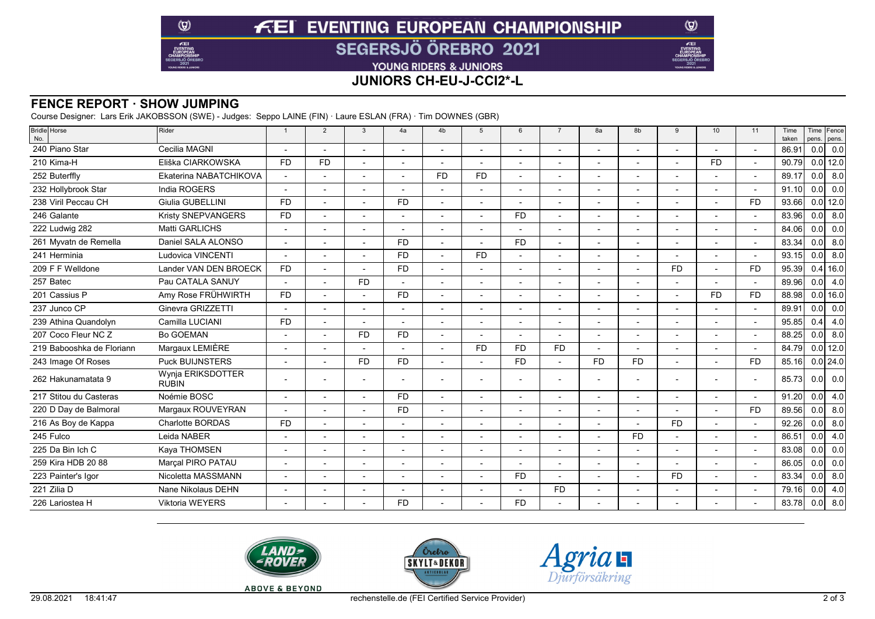# **FEI EVENTING EUROPEAN CHAMPIONSHIP SEGERSJÖ ÖREBRO 2021**

YOUNG RIDERS & JUNIORS

# **JUNIORS CH-EU-J-CCI2\*-L**

#### **FENCE REPORT · SHOW JUMPING**

 $\circledcirc$ 

 $E$ EI

Course Designer: Lars Erik JAKOBSSON (SWE) - Judges: Seppo LAINE (FIN) · Laure ESLAN (FRA) · Tim DOWNES (GBR)

| <b>Bridle</b> Horse<br>No. | Rider                             | $\overline{1}$           | 2              | $\overline{3}$ | 4a                       | 4 <sub>b</sub>           | 5              | 6              | $\overline{7}$ | 8a             | 8b        | $\mathbf{q}$   | 10             | 11             | Time<br>taken | pens.            | Time Fence<br>pens. |
|----------------------------|-----------------------------------|--------------------------|----------------|----------------|--------------------------|--------------------------|----------------|----------------|----------------|----------------|-----------|----------------|----------------|----------------|---------------|------------------|---------------------|
| 240 Piano Star             | Cecilia MAGNI                     | $\overline{\phantom{a}}$ |                |                |                          |                          |                |                | $\blacksquare$ | $\overline{a}$ |           |                |                |                | 86.91         |                  | 0.0 0.0             |
| 210 Kima-H                 | Eliška CIARKOWSKA                 | <b>FD</b>                | F <sub>D</sub> |                |                          |                          |                |                |                |                |           |                | <b>FD</b>      |                | 90.79         |                  | $0.0$ 12.0          |
| 252 Buterffly              | Ekaterina NABATCHIKOVA            | $\overline{a}$           |                |                | $\overline{a}$           | <b>FD</b>                | <b>FD</b>      |                |                | $\blacksquare$ |           |                |                |                | 89.17         | 0.0              | 8.0                 |
| 232 Hollybrook Star        | India ROGERS                      | $\overline{\phantom{a}}$ |                | $\blacksquare$ | $\overline{\phantom{a}}$ |                          |                |                |                |                |           |                |                |                | 91.10         | 0.0              | 0.0                 |
| 238 Viril Peccau CH        | Giulia GUBELLINI                  | <b>FD</b>                |                |                | <b>FD</b>                |                          |                |                |                |                |           |                |                | <b>FD</b>      | 93.66         |                  | $0.0$ 12.0          |
| 246 Galante                | Kristy SNEPVANGERS                | <b>FD</b>                |                |                | $\blacksquare$           |                          |                | FD.            |                |                |           |                |                |                | 83.96         | 0.0              | 8.0                 |
| 222 Ludwig 282             | Matti GARLICHS                    |                          |                |                |                          |                          |                |                |                |                |           |                |                |                | 84.06         | 0.0              | 0.0                 |
| 261 Myvatn de Remella      | Daniel SALA ALONSO                | $\overline{\phantom{a}}$ |                |                | <b>FD</b>                |                          |                | <b>FD</b>      |                | $\overline{a}$ |           |                |                |                | 83.34         | 0.0              | 8.0                 |
| 241 Herminia               | <b>Ludovica VINCENTI</b>          |                          |                |                | <b>FD</b>                |                          | <b>FD</b>      |                |                |                |           |                |                |                | 93.15         | 0.0              | 8.0                 |
| 209 F F Welldone           | Lander VAN DEN BROECK             | <b>FD</b>                |                |                | <b>FD</b>                |                          |                |                |                | ٠              |           | <b>FD</b>      |                | <b>FD</b>      | 95.39         |                  | $0.4$ 16.0          |
| 257 Batec                  | Pau CATALA SANUY                  |                          |                | <b>FD</b>      | $\blacksquare$           |                          |                |                |                |                |           |                |                |                | 89.96         | 0.0              | 4.0                 |
| 201 Cassius P              | Amy Rose FRÜHWIRTH                | <b>FD</b>                |                |                | <b>FD</b>                |                          |                |                |                |                |           |                | F <sub>D</sub> | <b>FD</b>      | 88.98         |                  | $0.0$ 16.0          |
| 237 Junco CP               | Ginevra GRIZZETTI                 |                          |                |                | $\overline{a}$           |                          |                |                |                | $\overline{a}$ |           |                |                |                | 89.91         | 0.0              | 0.0                 |
| 239 Athina Quandolyn       | Camilla LUCIANI                   | <b>FD</b>                |                |                |                          |                          |                |                |                |                |           |                |                |                | 95.85         | 0.4              | 4.0                 |
| 207 Coco Fleur NC Z        | <b>Bo GOEMAN</b>                  | $\overline{\phantom{a}}$ |                | <b>FD</b>      | <b>FD</b>                |                          |                |                |                |                |           |                |                |                | 88.25         | 0.0              | 8.0                 |
| 219 Babooshka de Floriann  | Margaux LEMIÈRE                   |                          |                |                |                          |                          | <b>FD</b>      | F <sub>D</sub> | <b>FD</b>      |                |           |                |                |                | 84.79         |                  | $0.0$ 12.0          |
| 243 Image Of Roses         | <b>Puck BUIJNSTERS</b>            | $\blacksquare$           |                | <b>FD</b>      | <b>FD</b>                |                          |                | <b>FD</b>      |                | <b>FD</b>      | <b>FD</b> |                |                | <b>FD</b>      | 85.16         |                  | $0.0$   24.0        |
| 262 Hakunamatata 9         | Wynia ERIKSDOTTER<br><b>RUBIN</b> |                          |                |                |                          |                          |                |                |                |                |           |                |                |                | 85.73         | 0.0 <sub>1</sub> | 0.0                 |
| 217 Stitou du Casteras     | Noémie BOSC                       | $\overline{\phantom{a}}$ |                | $\overline{a}$ | <b>FD</b>                |                          | $\overline{a}$ |                | $\blacksquare$ | $\overline{a}$ |           | $\blacksquare$ |                | $\overline{a}$ | 91.20         | 0.0              | 4.0                 |
| 220 D Day de Balmoral      | Margaux ROUVEYRAN                 |                          |                |                | <b>FD</b>                |                          |                |                |                |                |           |                |                | <b>FD</b>      | 89.56         | 0.0              | 8.0                 |
| 216 As Boy de Kappa        | <b>Charlotte BORDAS</b>           | <b>FD</b>                |                | $\overline{a}$ | $\overline{\phantom{a}}$ | $\overline{\phantom{a}}$ | $\overline{a}$ |                |                | $\overline{a}$ |           | <b>FD</b>      |                |                | 92.26         | 0.0              | 8.0                 |
| 245 Fulco                  | Leida NABER                       |                          |                |                |                          |                          |                |                |                |                | <b>FD</b> |                |                |                | 86.51         | 0.0              | 4.0                 |
| 225 Da Bin Ich C           | Kaya THOMSEN                      |                          |                |                | $\overline{\phantom{0}}$ |                          |                |                |                | $\overline{a}$ |           | $\blacksquare$ |                |                | 83.08         | 0.0              | 0.0                 |
| 259 Kira HDB 20 88         | Marcal PIRO PATAU                 |                          |                |                | $\overline{a}$           |                          |                |                |                | $\overline{a}$ |           |                |                |                | 86.05         | 0.0              | 0.0                 |
| 223 Painter's Igor         | Nicoletta MASSMANN                |                          |                |                |                          |                          |                | F <sub>D</sub> |                |                |           | <b>FD</b>      |                |                | 83.34         | 0.0              | 8.0                 |
| 221 Zilia D                | Nane Nikolaus DEHN                |                          |                |                |                          |                          |                |                | <b>FD</b>      | $\overline{a}$ |           |                |                |                | 79.16         | 0.0              | 4.0                 |
| 226 Lariostea H            | <b>Viktoria WEYERS</b>            |                          |                |                | <b>FD</b>                |                          |                | FD.            |                |                |           |                |                |                | 83.78         | 0.0              | 8.0                 |
|                            |                                   |                          |                |                |                          |                          |                |                |                |                |           |                |                |                |               |                  |                     |







 $\circledcirc$ 

Æ

**ABOVE & BEYOND**